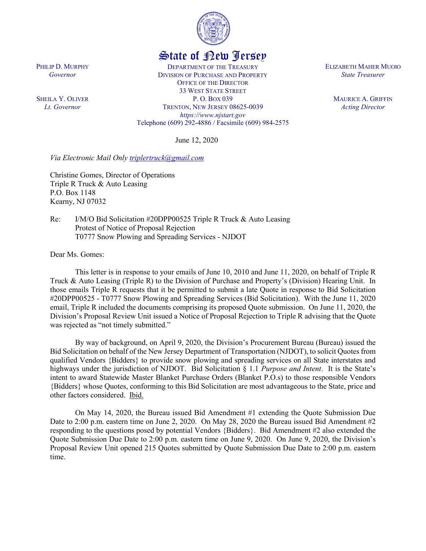

## State of New Jersey

DEPARTMENT OF THE TREASURY DIVISION OF PURCHASE AND PROPERTY OFFICE OF THE DIRECTOR 33 WEST STATE STREET P. O. BOX 039 TRENTON, NEW JERSEY 08625-0039 *https://www.njstart.gov* Telephone (609) 292-4886 / Facsimile (609) 984-2575

June 12, 2020

*Via Electronic Mail Only [triplertruck@gmail.com](mailto:triplertruck@gmail.com)*

Christine Gomes, Director of Operations Triple R Truck & Auto Leasing P.O. Box 1148 Kearny, NJ 07032

Re: I/M/O Bid Solicitation #20DPP00525 Triple R Truck & Auto Leasing Protest of Notice of Proposal Rejection T0777 Snow Plowing and Spreading Services - NJDOT

Dear Ms. Gomes:

This letter is in response to your emails of June 10, 2010 and June 11, 2020, on behalf of Triple R Truck & Auto Leasing (Triple R) to the Division of Purchase and Property's (Division) Hearing Unit. In those emails Triple R requests that it be permitted to submit a late Quote in response to Bid Solicitation #20DPP00525 - T0777 Snow Plowing and Spreading Services (Bid Solicitation). With the June 11, 2020 email, Triple R included the documents comprising its proposed Quote submission. On June 11, 2020, the Division's Proposal Review Unit issued a Notice of Proposal Rejection to Triple R advising that the Quote was rejected as "not timely submitted."

By way of background, on April 9, 2020, the Division's Procurement Bureau (Bureau) issued the Bid Solicitation on behalf of the New Jersey Department of Transportation (NJDOT), to solicit Quotes from qualified Vendors {Bidders} to provide snow plowing and spreading services on all State interstates and highways under the jurisdiction of NJDOT. Bid Solicitation § 1.1 *Purpose and Intent*. It is the State's intent to award Statewide Master Blanket Purchase Orders (Blanket P.O.s) to those responsible Vendors {Bidders} whose Quotes, conforming to this Bid Solicitation are most advantageous to the State, price and other factors considered. Ibid.

On May 14, 2020, the Bureau issued Bid Amendment #1 extending the Quote Submission Due Date to 2:00 p.m. eastern time on June 2, 2020. On May 28, 2020 the Bureau issued Bid Amendment #2 responding to the questions posed by potential Vendors {Bidders}. Bid Amendment #2 also extended the Quote Submission Due Date to 2:00 p.m. eastern time on June 9, 2020. On June 9, 2020, the Division's Proposal Review Unit opened 215 Quotes submitted by Quote Submission Due Date to 2:00 p.m. eastern time.

PHILIP D. MURPHY *Governor*

SHEILA Y. OLIVER *Lt. Governor*

ELIZABETH MAHER MUOIO *State Treasurer*

> MAURICE A. GRIFFIN *Acting Director*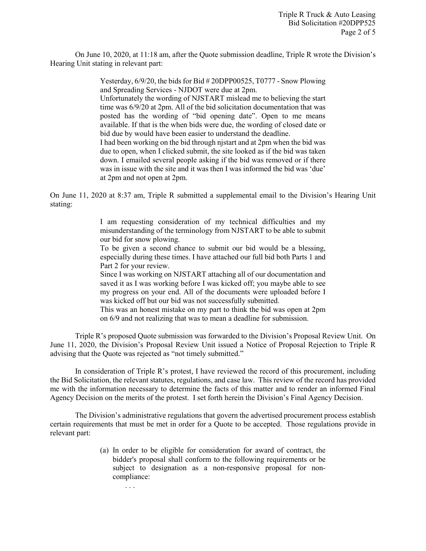On June 10, 2020, at 11:18 am, after the Quote submission deadline, Triple R wrote the Division's Hearing Unit stating in relevant part:

> Yesterday, 6/9/20, the bids for Bid # 20DPP00525, T0777 - Snow Plowing and Spreading Services - NJDOT were due at 2pm. Unfortunately the wording of NJSTART mislead me to believing the start time was 6/9/20 at 2pm. All of the bid solicitation documentation that was posted has the wording of "bid opening date". Open to me means available. If that is the when bids were due, the wording of closed date or bid due by would have been easier to understand the deadline.

> I had been working on the bid through njstart and at 2pm when the bid was due to open, when I clicked submit, the site looked as if the bid was taken down. I emailed several people asking if the bid was removed or if there was in issue with the site and it was then I was informed the bid was 'due' at 2pm and not open at 2pm.

On June 11, 2020 at 8:37 am, Triple R submitted a supplemental email to the Division's Hearing Unit stating:

> I am requesting consideration of my technical difficulties and my misunderstanding of the terminology from NJSTART to be able to submit our bid for snow plowing.

> To be given a second chance to submit our bid would be a blessing, especially during these times. I have attached our full bid both Parts 1 and Part 2 for your review.

> Since I was working on NJSTART attaching all of our documentation and saved it as I was working before I was kicked off; you maybe able to see my progress on your end. All of the documents were uploaded before I was kicked off but our bid was not successfully submitted.

> This was an honest mistake on my part to think the bid was open at 2pm on 6/9 and not realizing that was to mean a deadline for submission.

Triple R's proposed Quote submission was forwarded to the Division's Proposal Review Unit. On June 11, 2020, the Division's Proposal Review Unit issued a Notice of Proposal Rejection to Triple R advising that the Quote was rejected as "not timely submitted."

In consideration of Triple R's protest, I have reviewed the record of this procurement, including the Bid Solicitation, the relevant statutes, regulations, and case law. This review of the record has provided me with the information necessary to determine the facts of this matter and to render an informed Final Agency Decision on the merits of the protest. I set forth herein the Division's Final Agency Decision.

The Division's administrative regulations that govern the advertised procurement process establish certain requirements that must be met in order for a Quote to be accepted. Those regulations provide in relevant part:

> (a) In order to be eligible for consideration for award of contract, the bidder's proposal shall conform to the following requirements or be subject to designation as a non-responsive proposal for noncompliance:

> > . . .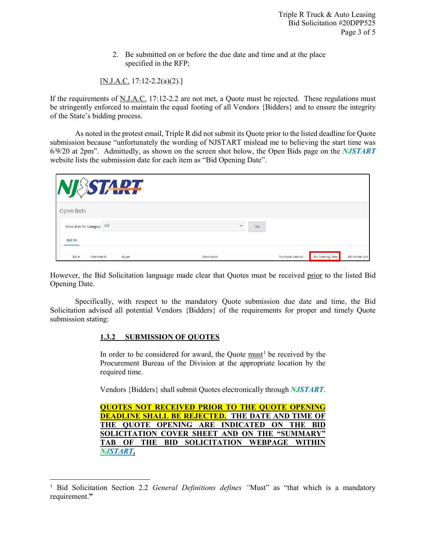2. Be submitted on or before the due date and time and at the place specified in the RFP;

[N.J.A.C. 17:12-2.2(a)(2).]

If the requirements of N.J.A.C. 17:12-2.2 are not met, a Quote must be rejected. These regulations must be stringently enforced to maintain the equal footing of all Vendors {Bidders} and to ensure the integrity of the State's bidding process.

As noted in the protest email, Triple R did not submit its Quote prior to the listed deadline for Quote submission because "unfortunately the wording of NJSTART mislead me to believing the start time was 6/9/20 at 2pm". Admittedly, as shown on the screen shot below, the Open Bids page on the *NJSTART* website lists the submission date for each item as "Bid Opening Date".

|                            | TART  |              |    |                 |                         |                        |
|----------------------------|-------|--------------|----|-----------------|-------------------------|------------------------|
| Open Bids                  |       |              |    |                 |                         |                        |
| Show Bids for Category All |       | $\checkmark$ | Go |                 |                         |                        |
| <b>BId(18)</b>             |       |              |    |                 |                         |                        |
| $B$ Id #<br>Alternate Id   | Buyer | Description  |    | Purchase Method | <b>Bid Opening Date</b> | <b>Bid Holder List</b> |

However, the Bid Solicitation language made clear that Quotes must be received prior to the listed Bid Opening Date.

Specifically, with respect to the mandatory Quote submission due date and time, the Bid Solicitation advised all potential Vendors {Bidders} of the requirements for proper and timely Quote submission stating:

## **1.3.2 SUBMISSION OF QUOTES**

l

In order to be considered for award, the Quote must<sup>[1](#page-2-0)</sup> be received by the Procurement Bureau of the Division at the appropriate location by the required time.

Vendors {Bidders} shall submit Quotes electronically through *NJSTART*.

|                 |  |  |  | <b>QUOTES NOT RECEIVED PRIOR TO THE QUOTE OPENING</b>   |  |
|-----------------|--|--|--|---------------------------------------------------------|--|
|                 |  |  |  | <b>DEADLINE SHALL BE REJECTED. THE DATE AND TIME OF</b> |  |
|                 |  |  |  | THE QUOTE OPENING ARE INDICATED ON THE BID              |  |
|                 |  |  |  | SOLICITATION COVER SHEET AND ON THE "SUMMARY"           |  |
|                 |  |  |  | TAB OF THE BID SOLICITATION WEBPAGE WITHIN              |  |
| <b>NJSTART.</b> |  |  |  |                                                         |  |

<span id="page-2-0"></span><sup>&</sup>lt;sup>1</sup> Bid Solicitation Section 2.2 *General Definitions defines* "Must" as "that which is a mandatory requirement.**"**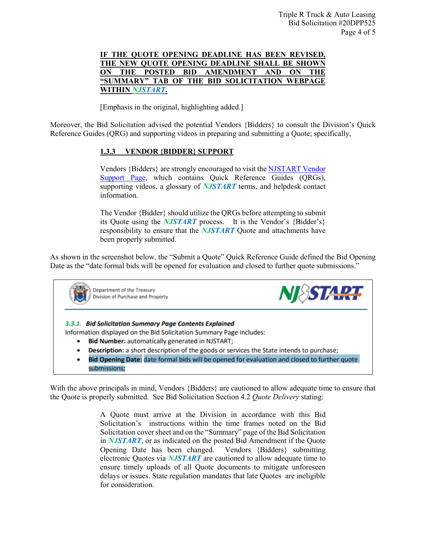## **IF THE QUOTE OPENING DEADLINE HAS BEEN REVISED, THE NEW QUOTE OPENING DEADLINE SHALL BE SHOWN ON THE POSTED BID AMENDMENT AND ON THE "SUMMARY" TAB OF THE BID SOLICITATION WEBPAGE WITHIN** *NJSTART***.**

[Emphasis in the original, highlighting added.]

Moreover, the Bid Solicitation advised the potential Vendors {Bidders} to consult the Division's Quick Reference Guides (QRG) and supporting videos in preparing and submitting a Quote; specifically,

## **1.3.3 VENDOR {BIDDER} SUPPORT**

Vendors {Bidders} are strongly encouraged to visit th[e NJSTART Vendor](https://www.state.nj.us/treasury/purchase/vendor.shtml)  [Support Page,](https://www.state.nj.us/treasury/purchase/vendor.shtml) which contains Quick Reference Guides (QRGs), supporting videos, a glossary of *NJSTART* terms, and helpdesk contact information.

The Vendor {Bidder} should utilize the QRGs before attempting to submit its Quote using the *NJSTART* process. It is the Vendor's {Bidder's} responsibility to ensure that the *NJSTART* Quote and attachments have been properly submitted.

As shown in the screenshot below, the "Submit a Quote" Quick Reference Guide defined the Bid Opening Date as the "date formal bids will be opened for evaluation and closed to further quote submissions."



With the above principals in mind, Vendors {Bidders} are cautioned to allow adequate time to ensure that the Quote is properly submitted. See Bid Solicitation Section 4.2 *Quote Delivery* stating:

> A Quote must arrive at the Division in accordance with this Bid Solicitation's instructions within the time frames noted on the Bid Solicitation cover sheet and on the "Summary" page of the Bid Solicitation in *NJSTART*, or as indicated on the posted Bid Amendment if the Quote Opening Date has been changed. Vendors {Bidders} submitting electronic Quotes via *NJSTART* are cautioned to allow adequate time to ensure timely uploads of all Quote documents to mitigate unforeseen delays or issues. State regulation mandates that late Quotes are ineligible for consideration.